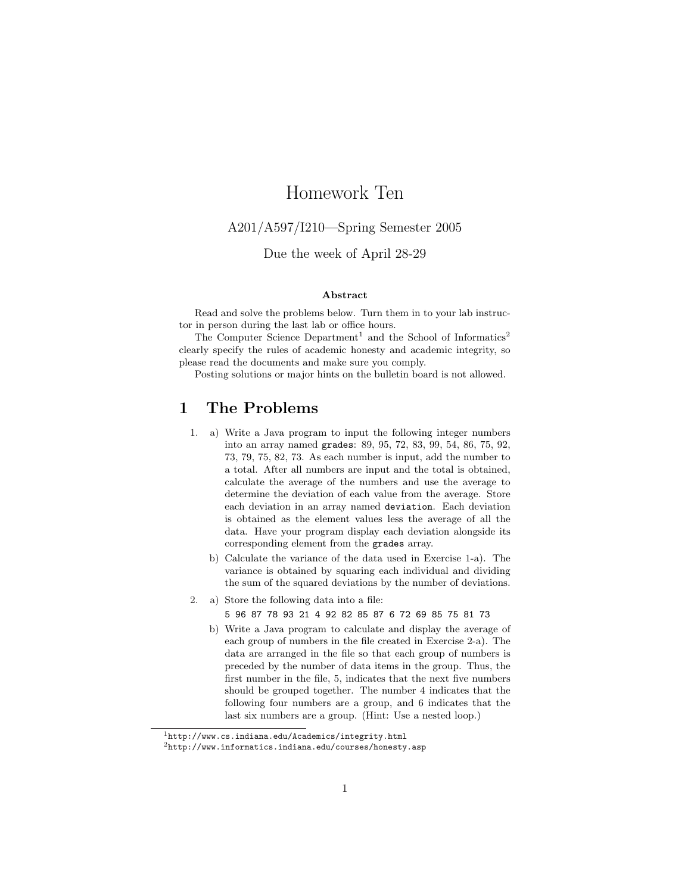# Homework Ten

### A201/A597/I210—Spring Semester 2005

## Due the week of April 28-29

### Abstract

Read and solve the problems below. Turn them in to your lab instructor in person during the last lab or office hours.

The Computer Science  $Department<sup>1</sup>$  and the School of Informatics<sup>2</sup> clearly specify the rules of academic honesty and academic integrity, so please read the documents and make sure you comply.

Posting solutions or major hints on the bulletin board is not allowed.

# 1 The Problems

- 1. a) Write a Java program to input the following integer numbers into an array named grades: 89, 95, 72, 83, 99, 54, 86, 75, 92, 73, 79, 75, 82, 73. As each number is input, add the number to a total. After all numbers are input and the total is obtained, calculate the average of the numbers and use the average to determine the deviation of each value from the average. Store each deviation in an array named deviation. Each deviation is obtained as the element values less the average of all the data. Have your program display each deviation alongside its corresponding element from the grades array.
	- b) Calculate the variance of the data used in Exercise 1-a). The variance is obtained by squaring each individual and dividing the sum of the squared deviations by the number of deviations.
- 2. a) Store the following data into a file:

5 96 87 78 93 21 4 92 82 85 87 6 72 69 85 75 81 73

b) Write a Java program to calculate and display the average of each group of numbers in the file created in Exercise 2-a). The data are arranged in the file so that each group of numbers is preceded by the number of data items in the group. Thus, the first number in the file, 5, indicates that the next five numbers should be grouped together. The number 4 indicates that the following four numbers are a group, and 6 indicates that the last six numbers are a group. (Hint: Use a nested loop.)

 $1$ http://www.cs.indiana.edu/Academics/integrity.html

 $^{2}$ http://www.informatics.indiana.edu/courses/honesty.asp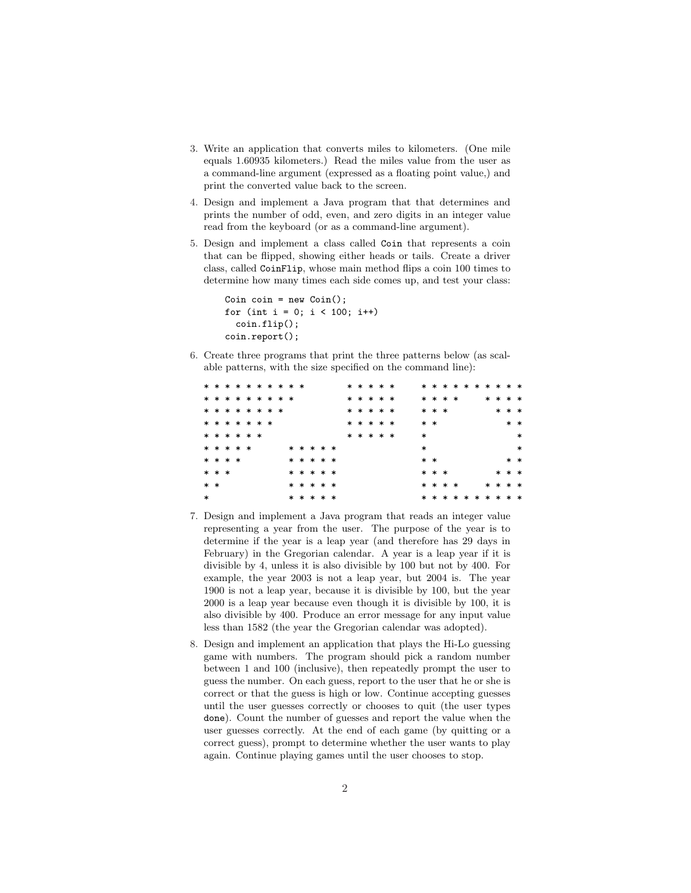- 3. Write an application that converts miles to kilometers. (One mile equals 1.60935 kilometers.) Read the miles value from the user as a command-line argument (expressed as a floating point value,) and print the converted value back to the screen.
- 4. Design and implement a Java program that that determines and prints the number of odd, even, and zero digits in an integer value read from the keyboard (or as a command-line argument).
- 5. Design and implement a class called Coin that represents a coin that can be flipped, showing either heads or tails. Create a driver class, called CoinFlip, whose main method flips a coin 100 times to determine how many times each side comes up, and test your class:

```
Coin \coin = new \ Coin();
for (int i = 0; i < 100; i++)
  coinflip();coin/report();
```
6. Create three programs that print the three patterns below (as scalable patterns, with the size specified on the command line):

|        |           |  | * * * * * * * * * * |  |  |  |           |  |  | * * * * * |  |        |       |         |  | * * * * * * * * * * |  |         |        |
|--------|-----------|--|---------------------|--|--|--|-----------|--|--|-----------|--|--------|-------|---------|--|---------------------|--|---------|--------|
|        |           |  | * * * * * * * * *   |  |  |  |           |  |  | * * * * * |  |        |       | * * * * |  |                     |  | * * * * |        |
|        |           |  | * * * * * * * *     |  |  |  |           |  |  | * * * * * |  |        | * * * |         |  |                     |  | * * *   |        |
|        |           |  | * * * * * * *       |  |  |  |           |  |  | * * * * * |  |        | $* *$ |         |  |                     |  |         | $* *$  |
|        |           |  | * * * * * *         |  |  |  |           |  |  | * * * * * |  | $\ast$ |       |         |  |                     |  |         | $\ast$ |
|        | * * * * * |  |                     |  |  |  | * * * * * |  |  |           |  | $\ast$ |       |         |  |                     |  |         | $\ast$ |
|        | * * * *   |  |                     |  |  |  | * * * * * |  |  |           |  |        | $* *$ |         |  |                     |  | $* *$   |        |
|        | * * *     |  |                     |  |  |  | * * * * * |  |  |           |  |        | * * * |         |  |                     |  | * * *   |        |
| $* *$  |           |  |                     |  |  |  | * * * * * |  |  |           |  |        |       | * * * * |  |                     |  | * * * * |        |
| $\ast$ |           |  |                     |  |  |  | * * * * * |  |  |           |  |        |       |         |  | * * * * * * * * * * |  |         |        |

- 7. Design and implement a Java program that reads an integer value representing a year from the user. The purpose of the year is to determine if the year is a leap year (and therefore has 29 days in February) in the Gregorian calendar. A year is a leap year if it is divisible by 4, unless it is also divisible by 100 but not by 400. For example, the year 2003 is not a leap year, but 2004 is. The year 1900 is not a leap year, because it is divisible by 100, but the year 2000 is a leap year because even though it is divisible by 100, it is also divisible by 400. Produce an error message for any input value less than 1582 (the year the Gregorian calendar was adopted).
- 8. Design and implement an application that plays the Hi-Lo guessing game with numbers. The program should pick a random number between 1 and 100 (inclusive), then repeatedly prompt the user to guess the number. On each guess, report to the user that he or she is correct or that the guess is high or low. Continue accepting guesses until the user guesses correctly or chooses to quit (the user types done). Count the number of guesses and report the value when the user guesses correctly. At the end of each game (by quitting or a correct guess), prompt to determine whether the user wants to play again. Continue playing games until the user chooses to stop.